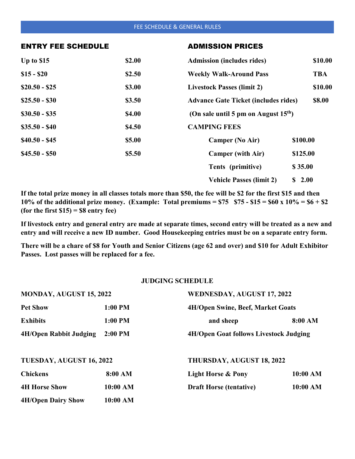#### FEE SCHEDULE & GENERAL RULES

#### ENTRY FEE SCHEDULE ADMISSION PRICES

| Up to \$15     | \$2.00 | <b>Admission (includes rides)</b>           | \$10.00    |
|----------------|--------|---------------------------------------------|------------|
| $$15 - $20$    | \$2.50 | <b>Weekly Walk-Around Pass</b>              | <b>TBA</b> |
| $$20.50 - $25$ | \$3.00 | <b>Livestock Passes (limit 2)</b>           | \$10.00    |
| $$25.50 - $30$ | \$3.50 | <b>Advance Gate Ticket (includes rides)</b> | \$8.00     |
| $$30.50 - $35$ | \$4.00 | (On sale until 5 pm on August $15th$ )      |            |
| $$35.50 - $40$ | \$4.50 | <b>CAMPING FEES</b>                         |            |
| $$40.50 - $45$ | \$5.00 | <b>Camper (No Air)</b>                      | \$100.00   |
| $$45.50 - $50$ | \$5.50 | <b>Camper (with Air)</b>                    | \$125.00   |
|                |        | Tents (primitive)                           | \$35.00    |
|                |        | <b>Vehicle Passes (limit 2)</b>             | \$2.00     |

**If the total prize money in all classes totals more than \$50, the fee will be \$2 for the first \$15 and then 10% of the additional prize money. (Example: Total premiums = \$75 \$75 - \$15 = \$60 x 10% = \$6 + \$2 (for the first \$15) = \$8 entry fee)**

**If livestock entry and general entry are made at separate times, second entry will be treated as a new and entry and will receive a new ID number. Good Housekeeping entries must be on a separate entry form.**

**There will be a chare of \$8 for Youth and Senior Citizens (age 62 and over) and \$10 for Adult Exhibitor Passes. Lost passes will be replaced for a fee.**

## **JUDGING SCHEDULE**

| MONDAY, AUGUST 15, 2022       |           | WEDNESDAY, AUGUST 17, 2022                    |          |
|-------------------------------|-----------|-----------------------------------------------|----------|
| <b>Pet Show</b>               | $1:00$ PM | <b>4H/Open Swine, Beef, Market Goats</b>      |          |
| <b>Exhibits</b>               | $1:00$ PM | and sheep                                     | 8:00 AM  |
| <b>4H/Open Rabbit Judging</b> | $2:00$ PM | <b>4H/Open Goat follows Livestock Judging</b> |          |
| TUESDAY, AUGUST 16, 2022      |           | THURSDAY, AUGUST 18, 2022                     |          |
| <b>Chickens</b>               | 8:00 AM   | <b>Light Horse &amp; Pony</b>                 | 10:00 AM |
| <b>4H Horse Show</b>          | 10:00 AM  | <b>Draft Horse (tentative)</b>                | 10:00 AM |
| <b>4H/Open Dairy Show</b>     | 10:00 AM  |                                               |          |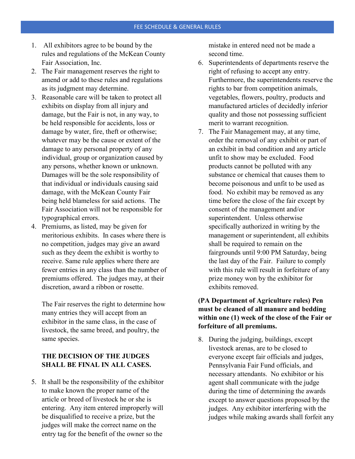- 1. All exhibitors agree to be bound by the rules and regulations of the McKean County Fair Association, Inc.
- 2. The Fair management reserves the right to amend or add to these rules and regulations as its judgment may determine.
- 3. Reasonable care will be taken to protect all exhibits on display from all injury and damage, but the Fair is not, in any way, to be held responsible for accidents, loss or damage by water, fire, theft or otherwise; whatever may be the cause or extent of the damage to any personal property of any individual, group or organization caused by any persons, whether known or unknown. Damages will be the sole responsibility of that individual or individuals causing said damage, with the McKean County Fair being held blameless for said actions. The Fair Association will not be responsible for typographical errors.
- 4. Premiums, as listed, may be given for meritorious exhibits. In cases where there is no competition, judges may give an award such as they deem the exhibit is worthy to receive. Same rule applies where there are fewer entries in any class than the number of premiums offered. The judges may, at their discretion, award a ribbon or rosette.

The Fair reserves the right to determine how many entries they will accept from an exhibitor in the same class, in the case of livestock, the same breed, and poultry, the same species.

# **THE DECISION OF THE JUDGES SHALL BE FINAL IN ALL CASES.**

5. It shall be the responsibility of the exhibitor to make known the proper name of the article or breed of livestock he or she is entering. Any item entered improperly will be disqualified to receive a prize, but the judges will make the correct name on the entry tag for the benefit of the owner so the

mistake in entered need not be made a second time.

- 6. Superintendents of departments reserve the right of refusing to accept any entry. Furthermore, the superintendents reserve the rights to bar from competition animals, vegetables, flowers, poultry, products and manufactured articles of decidedly inferior quality and those not possessing sufficient merit to warrant recognition.
- 7. The Fair Management may, at any time, order the removal of any exhibit or part of an exhibit in bad condition and any article unfit to show may be excluded. Food products cannot be polluted with any substance or chemical that causes them to become poisonous and unfit to be used as food. No exhibit may be removed as any time before the close of the fair except by consent of the management and/or superintendent. Unless otherwise specifically authorized in writing by the management or superintendent, all exhibits shall be required to remain on the fairgrounds until 9:00 PM Saturday, being the last day of the Fair. Failure to comply with this rule will result in forfeiture of any prize money won by the exhibitor for exhibits removed.

## **(PA Department of Agriculture rules) Pen must be cleaned of all manure and bedding within one (1) week of the close of the Fair or forfeiture of all premiums.**

8. During the judging, buildings, except livestock arenas, are to be closed to everyone except fair officials and judges, Pennsylvania Fair Fund officials, and necessary attendants. No exhibitor or his agent shall communicate with the judge during the time of determining the awards except to answer questions proposed by the judges. Any exhibitor interfering with the judges while making awards shall forfeit any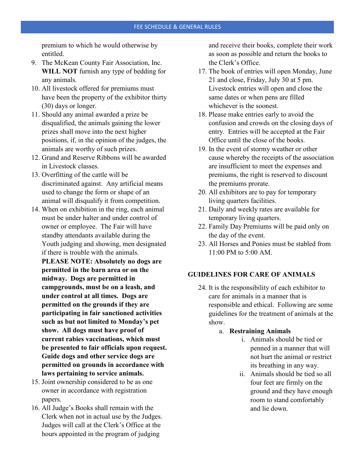premium to which he would otherwise by entitled.

- 9. The McKean County Fair Association, Inc. **WILL NOT** furnish any type of bedding for any animals.
- 10. All livestock offered for premiums must have been the property of the exhibitor thirty (30) days or longer.
- 11. Should any animal awarded a prize be disqualified, the animals gaining the lower prizes shall move into the next higher positions, if, in the opinion of the judges, the animals are worthy of such prizes.
- 12. Grand and Reserve Ribbons will be awarded in Livestock classes.
- 13. Overfitting of the cattle will be discriminated against. Any artificial means used to change the form or shape of an animal will disqualify it from competition.
- 14. When on exhibition in the ring, each animal must be under halter and under control of owner or employee. The Fair will have standby attendants available during the Youth judging and showing, men designated if there is trouble with the animals. **PLEASE NOTE: Absolutely no dogs are permitted in the barn area or on the midway. Dogs are permitted in campgrounds, must be on a leash, and under control at all times. Dogs are permitted on the grounds if they are participating in fair sanctioned activities such as but not limited to Monday's pet show. All dogs must have proof of current rabies vaccinations, which must be presented to fair officials upon request. Guide dogs and other service dogs are permitted on grounds in accordance with laws pertaining to service animals.**
- 15. Joint ownership considered to be as one owner in accordance with registration papers.
- 16. All Judge's Books shall remain with the Clerk when not in actual use by the Judges. Judges will call at the Clerk's Office at the hours appointed in the program of judging

and receive their books, complete their work as soon as possible and return the books to the Clerk's Office.

- 17. The book of entries will open Monday, June 21 and close, Friday, July 30 at 5 pm. Livestock entries will open and close the same dates or when pens are filled whichever is the soonest.
- 18. Please make entries early to avoid the confusion and crowds on the closing days of entry. Entries will be accepted at the Fair Office until the close of the books.
- 19. In the event of stormy weather or other cause whereby the receipts of the association are insufficient to meet the expenses and premiums, the right is reserved to discount the premiums prorate.
- 20. All exhibitors are to pay for temporary living quarters facilities.
- 21. Daily and weekly rates are available for temporary living quarters.
- 22. Family Day Premiums will be paid only on the day of the event.
- 23. All Horses and Ponies must be stabled from 11:00 PM to 5:00 AM.

## **GUIDELINES FOR CARE OF ANIMALS**

- 24. It is the responsibility of each exhibitor to care for animals in a manner that is responsible and ethical. Following are some guidelines for the treatment of animals at the show.
	- a. **Restraining Animals**
		- i. Animals should be tied or penned in a manner that will not hurt the animal or restrict its breathing in any way.
		- ii. Animals should be tied so all four feet are firmly on the ground and they have enough room to stand comfortably and lie down.